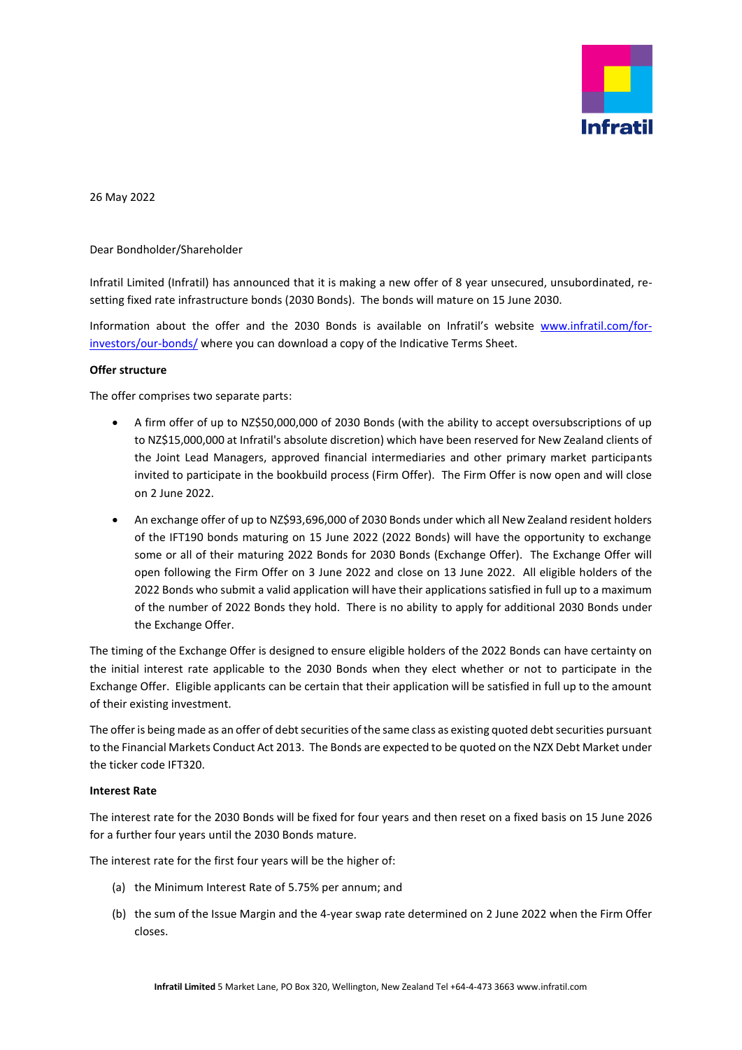

26 May 2022

Dear Bondholder/Shareholder

Infratil Limited (Infratil) has announced that it is making a new offer of 8 year unsecured, unsubordinated, resetting fixed rate infrastructure bonds (2030 Bonds). The bonds will mature on 15 June 2030.

Information about the offer and the 2030 Bonds is available on Infratil's website [www.infratil.com/for](http://www.infratil.com/for-investors/our-bonds/)[investors/our-bonds/](http://www.infratil.com/for-investors/our-bonds/) where you can download a copy of the Indicative Terms Sheet.

## **Offer structure**

The offer comprises two separate parts:

- A firm offer of up to NZ\$50,000,000 of 2030 Bonds (with the ability to accept oversubscriptions of up to NZ\$15,000,000 at Infratil's absolute discretion) which have been reserved for New Zealand clients of the Joint Lead Managers, approved financial intermediaries and other primary market participants invited to participate in the bookbuild process (Firm Offer). The Firm Offer is now open and will close on 2 June 2022.
- An exchange offer of up to NZ\$93,696,000 of 2030 Bonds under which all New Zealand resident holders of the IFT190 bonds maturing on 15 June 2022 (2022 Bonds) will have the opportunity to exchange some or all of their maturing 2022 Bonds for 2030 Bonds (Exchange Offer). The Exchange Offer will open following the Firm Offer on 3 June 2022 and close on 13 June 2022. All eligible holders of the 2022 Bonds who submit a valid application will have their applications satisfied in full up to a maximum of the number of 2022 Bonds they hold. There is no ability to apply for additional 2030 Bonds under the Exchange Offer.

The timing of the Exchange Offer is designed to ensure eligible holders of the 2022 Bonds can have certainty on the initial interest rate applicable to the 2030 Bonds when they elect whether or not to participate in the Exchange Offer. Eligible applicants can be certain that their application will be satisfied in full up to the amount of their existing investment.

The offer is being made as an offer of debt securities of the same class as existing quoted debt securities pursuant to the Financial Markets Conduct Act 2013. The Bonds are expected to be quoted on the NZX Debt Market under the ticker code IFT320.

## **Interest Rate**

The interest rate for the 2030 Bonds will be fixed for four years and then reset on a fixed basis on 15 June 2026 for a further four years until the 2030 Bonds mature.

The interest rate for the first four years will be the higher of:

- (a) the Minimum Interest Rate of 5.75% per annum; and
- (b) the sum of the Issue Margin and the 4-year swap rate determined on 2 June 2022 when the Firm Offer closes.